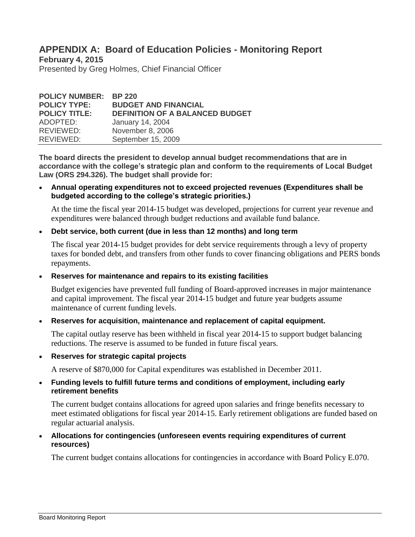# **APPENDIX A: Board of Education Policies - Monitoring Report**

**February 4, 2015**

Presented by Greg Holmes, Chief Financial Officer

| <b>POLICY NUMBER: BP 220</b> |                                        |
|------------------------------|----------------------------------------|
| <b>POLICY TYPE:</b>          | <b>BUDGET AND FINANCIAL</b>            |
| <b>POLICY TITLE:</b>         | <b>DEFINITION OF A BALANCED BUDGET</b> |
| ADOPTED:                     | January 14, 2004                       |
| REVIEWED:                    | November 8, 2006                       |
| REVIEWED:                    | September 15, 2009                     |

**The board directs the president to develop annual budget recommendations that are in accordance with the college's strategic plan and conform to the requirements of Local Budget Law (ORS 294.326). The budget shall provide for:**

 **Annual operating expenditures not to exceed projected revenues (Expenditures shall be budgeted according to the college's strategic priorities.)**

At the time the fiscal year 2014-15 budget was developed, projections for current year revenue and expenditures were balanced through budget reductions and available fund balance.

## **Debt service, both current (due in less than 12 months) and long term**

The fiscal year 2014-15 budget provides for debt service requirements through a levy of property taxes for bonded debt, and transfers from other funds to cover financing obligations and PERS bonds repayments.

**Reserves for maintenance and repairs to its existing facilities**

Budget exigencies have prevented full funding of Board-approved increases in major maintenance and capital improvement. The fiscal year 2014-15 budget and future year budgets assume maintenance of current funding levels.

**Reserves for acquisition, maintenance and replacement of capital equipment.** 

The capital outlay reserve has been withheld in fiscal year 2014-15 to support budget balancing reductions. The reserve is assumed to be funded in future fiscal years.

**Reserves for strategic capital projects** 

A reserve of \$870,000 for Capital expenditures was established in December 2011.

## **Funding levels to fulfill future terms and conditions of employment, including early retirement benefits**

The current budget contains allocations for agreed upon salaries and fringe benefits necessary to meet estimated obligations for fiscal year 2014-15. Early retirement obligations are funded based on regular actuarial analysis.

 **Allocations for contingencies (unforeseen events requiring expenditures of current resources)**

The current budget contains allocations for contingencies in accordance with Board Policy E.070.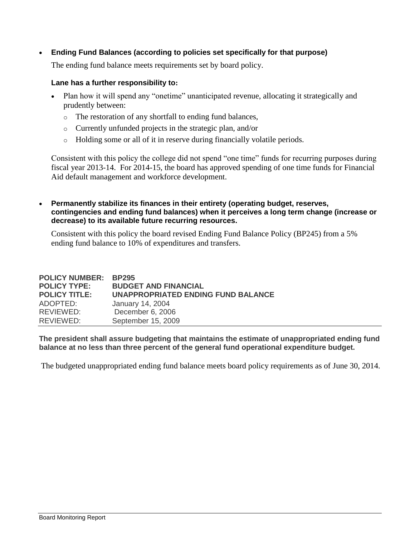**Ending Fund Balances (according to policies set specifically for that purpose)**

The ending fund balance meets requirements set by board policy.

## **Lane has a further responsibility to:**

- Plan how it will spend any "onetime" unanticipated revenue, allocating it strategically and prudently between:
	- o The restoration of any shortfall to ending fund balances,
	- o Currently unfunded projects in the strategic plan, and/or
	- o Holding some or all of it in reserve during financially volatile periods.

Consistent with this policy the college did not spend "one time" funds for recurring purposes during fiscal year 2013-14. For 2014-15, the board has approved spending of one time funds for Financial Aid default management and workforce development.

 **Permanently stabilize its finances in their entirety (operating budget, reserves, contingencies and ending fund balances) when it perceives a long term change (increase or decrease) to its available future recurring resources.**

Consistent with this policy the board revised Ending Fund Balance Policy (BP245) from a 5% ending fund balance to 10% of expenditures and transfers.

| <b>POLICY NUMBER:</b><br><b>POLICY TYPE:</b> | <b>BP295</b><br><b>BUDGET AND FINANCIAL</b> |
|----------------------------------------------|---------------------------------------------|
| <b>POLICY TITLE:</b>                         | <b>UNAPPROPRIATED ENDING FUND BALANCE</b>   |
| ADOPTED:                                     | January 14, 2004                            |
| REVIEWED:                                    | December 6, 2006                            |
| REVIEWED:                                    | September 15, 2009                          |

**The president shall assure budgeting that maintains the estimate of unappropriated ending fund balance at no less than three percent of the general fund operational expenditure budget.** 

The budgeted unappropriated ending fund balance meets board policy requirements as of June 30, 2014.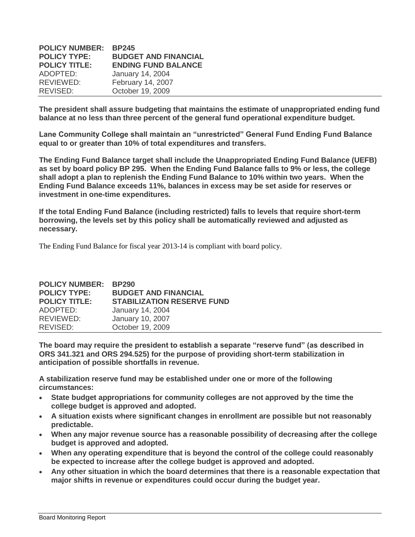| <b>BP245</b>                |
|-----------------------------|
| <b>BUDGET AND FINANCIAL</b> |
| <b>ENDING FUND BALANCE</b>  |
| January 14, 2004            |
| February 14, 2007           |
| October 19, 2009            |
|                             |

**The president shall assure budgeting that maintains the estimate of unappropriated ending fund balance at no less than three percent of the general fund operational expenditure budget.** 

**Lane Community College shall maintain an "unrestricted" General Fund Ending Fund Balance equal to or greater than 10% of total expenditures and transfers.**

**The Ending Fund Balance target shall include the Unappropriated Ending Fund Balance (UEFB) as set by board policy BP 295. When the Ending Fund Balance falls to 9% or less, the college shall adopt a plan to replenish the Ending Fund Balance to 10% within two years. When the Ending Fund Balance exceeds 11%, balances in excess may be set aside for reserves or investment in one-time expenditures.**

**If the total Ending Fund Balance (including restricted) falls to levels that require short-term borrowing, the levels set by this policy shall be automatically reviewed and adjusted as necessary.** 

The Ending Fund Balance for fiscal year 2013-14 is compliant with board policy.

| <b>POLICY NUMBER:</b> | <b>BP290</b>                      |
|-----------------------|-----------------------------------|
| <b>POLICY TYPE:</b>   | <b>BUDGET AND FINANCIAL</b>       |
| <b>POLICY TITLE:</b>  | <b>STABILIZATION RESERVE FUND</b> |
| ADOPTED:              | January 14, 2004                  |
| REVIEWED:             | January 10, 2007                  |
| REVISED:              | October 19, 2009                  |

**The board may require the president to establish a separate "reserve fund" (as described in ORS 341.321 and ORS 294.525) for the purpose of providing short-term stabilization in anticipation of possible shortfalls in revenue.**

**A stabilization reserve fund may be established under one or more of the following circumstances:**

- **State budget appropriations for community colleges are not approved by the time the college budget is approved and adopted.**
- **A situation exists where significant changes in enrollment are possible but not reasonably predictable.**
- **When any major revenue source has a reasonable possibility of decreasing after the college budget is approved and adopted.**
- **When any operating expenditure that is beyond the control of the college could reasonably be expected to increase after the college budget is approved and adopted.**
- **Any other situation in which the board determines that there is a reasonable expectation that major shifts in revenue or expenditures could occur during the budget year.**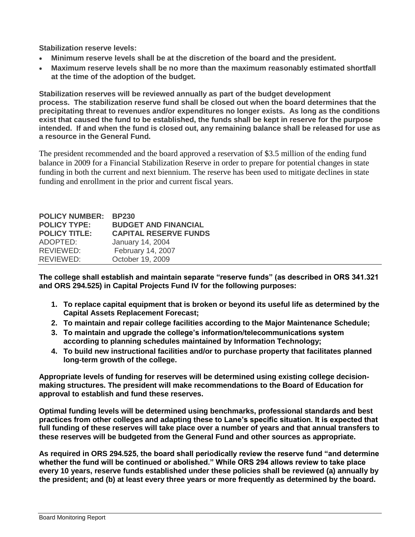**Stabilization reserve levels:**

- **Minimum reserve levels shall be at the discretion of the board and the president.**
- **Maximum reserve levels shall be no more than the maximum reasonably estimated shortfall at the time of the adoption of the budget.**

**Stabilization reserves will be reviewed annually as part of the budget development process. The stabilization reserve fund shall be closed out when the board determines that the precipitating threat to revenues and/or expenditures no longer exists. As long as the conditions exist that caused the fund to be established, the funds shall be kept in reserve for the purpose intended. If and when the fund is closed out, any remaining balance shall be released for use as a resource in the General Fund.**

The president recommended and the board approved a reservation of \$3.5 million of the ending fund balance in 2009 for a Financial Stabilization Reserve in order to prepare for potential changes in state funding in both the current and next biennium. The reserve has been used to mitigate declines in state funding and enrollment in the prior and current fiscal years.

| <b>POLICY NUMBER:</b> | <b>BP230</b>                 |
|-----------------------|------------------------------|
| <b>POLICY TYPE:</b>   | <b>BUDGET AND FINANCIAL</b>  |
| <b>POLICY TITLE:</b>  | <b>CAPITAL RESERVE FUNDS</b> |
| ADOPTED:              | January 14, 2004             |
| REVIEWED:             | February 14, 2007            |
| REVIEWED:             | October 19, 2009             |

**The college shall establish and maintain separate "reserve funds" (as described in ORS 341.321 and ORS 294.525) in Capital Projects Fund IV for the following purposes:**

- **1. To replace capital equipment that is broken or beyond its useful life as determined by the Capital Assets Replacement Forecast;**
- **2. To maintain and repair college facilities according to the Major Maintenance Schedule;**
- **3. To maintain and upgrade the college's information/telecommunications system according to planning schedules maintained by Information Technology;**
- **4. To build new instructional facilities and/or to purchase property that facilitates planned long-term growth of the college.**

**Appropriate levels of funding for reserves will be determined using existing college decisionmaking structures. The president will make recommendations to the Board of Education for approval to establish and fund these reserves.**

**Optimal funding levels will be determined using benchmarks, professional standards and best practices from other colleges and adapting these to Lane's specific situation. It is expected that full funding of these reserves will take place over a number of years and that annual transfers to these reserves will be budgeted from the General Fund and other sources as appropriate.**

**As required in ORS 294.525, the board shall periodically review the reserve fund "and determine whether the fund will be continued or abolished." While ORS 294 allows review to take place every 10 years, reserve funds established under these policies shall be reviewed (a) annually by the president; and (b) at least every three years or more frequently as determined by the board.**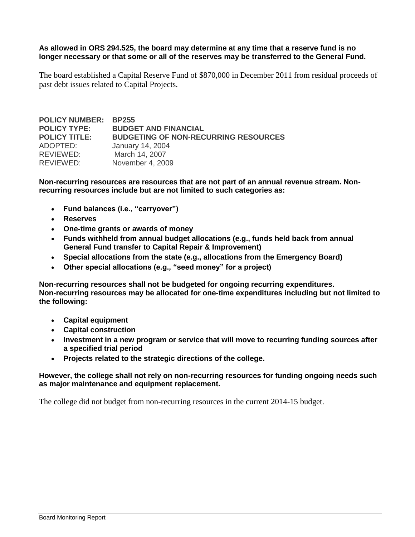#### **As allowed in ORS 294.525, the board may determine at any time that a reserve fund is no longer necessary or that some or all of the reserves may be transferred to the General Fund.**

The board established a Capital Reserve Fund of \$870,000 in December 2011 from residual proceeds of past debt issues related to Capital Projects.

| <b>POLICY NUMBER: BP255</b> |                                             |
|-----------------------------|---------------------------------------------|
| <b>POLICY TYPE:</b>         | <b>BUDGET AND FINANCIAL</b>                 |
| <b>POLICY TITLE:</b>        | <b>BUDGETING OF NON-RECURRING RESOURCES</b> |
| ADOPTED:                    | January 14, 2004                            |
| REVIEWED:                   | March 14, 2007                              |
| REVIEWED:                   | November 4, 2009                            |

**Non-recurring resources are resources that are not part of an annual revenue stream. Nonrecurring resources include but are not limited to such categories as:**

- **Fund balances (i.e., "carryover")**
- **Reserves**
- **One-time grants or awards of money**
- **Funds withheld from annual budget allocations (e.g., funds held back from annual General Fund transfer to Capital Repair & Improvement)**
- **Special allocations from the state (e.g., allocations from the Emergency Board)**
- **Other special allocations (e.g., "seed money" for a project)**

**Non-recurring resources shall not be budgeted for ongoing recurring expenditures. Non-recurring resources may be allocated for one-time expenditures including but not limited to the following:**

- **Capital equipment**
- **Capital construction**
- **Investment in a new program or service that will move to recurring funding sources after a specified trial period**
- **Projects related to the strategic directions of the college.**

## **However, the college shall not rely on non-recurring resources for funding ongoing needs such as major maintenance and equipment replacement.**

The college did not budget from non-recurring resources in the current 2014-15 budget.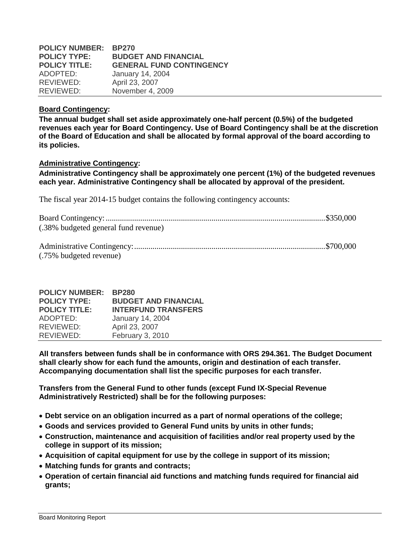| <b>POLICY NUMBER:</b> | <b>BP270</b>                    |
|-----------------------|---------------------------------|
| <b>POLICY TYPE:</b>   | <b>BUDGET AND FINANCIAL</b>     |
| <b>POLICY TITLE:</b>  | <b>GENERAL FUND CONTINGENCY</b> |
| ADOPTED:              | January 14, 2004                |
| REVIEWED:             | April 23, 2007                  |
| REVIEWED:             | November 4, 2009                |

#### **Board Contingency:**

**The annual budget shall set aside approximately one-half percent (0.5%) of the budgeted revenues each year for Board Contingency. Use of Board Contingency shall be at the discretion of the Board of Education and shall be allocated by formal approval of the board according to its policies.**

## **Administrative Contingency:**

**Administrative Contingency shall be approximately one percent (1%) of the budgeted revenues each year. Administrative Contingency shall be allocated by approval of the president.**

The fiscal year 2014-15 budget contains the following contingency accounts:

| (.38% budgeted general fund revenue) |  |
|--------------------------------------|--|
|                                      |  |

| (.75% budgeted revenue) |  |
|-------------------------|--|

| <b>POLICY NUMBER:</b> | <b>BP280</b>                |
|-----------------------|-----------------------------|
| <b>POLICY TYPE:</b>   | <b>BUDGET AND FINANCIAL</b> |
| <b>POLICY TITLE:</b>  | <b>INTERFUND TRANSFERS</b>  |
| ADOPTED:              | January 14, 2004            |
| REVIEWED:             | April 23, 2007              |
| REVIEWED:             | February 3, 2010            |

**All transfers between funds shall be in conformance with ORS 294.361. The Budget Document shall clearly show for each fund the amounts, origin and destination of each transfer. Accompanying documentation shall list the specific purposes for each transfer.**

**Transfers from the General Fund to other funds (except Fund IX-Special Revenue Administratively Restricted) shall be for the following purposes:**

- **Debt service on an obligation incurred as a part of normal operations of the college;**
- **Goods and services provided to General Fund units by units in other funds;**
- **Construction, maintenance and acquisition of facilities and/or real property used by the college in support of its mission;**
- **Acquisition of capital equipment for use by the college in support of its mission;**
- **Matching funds for grants and contracts;**
- **Operation of certain financial aid functions and matching funds required for financial aid grants;**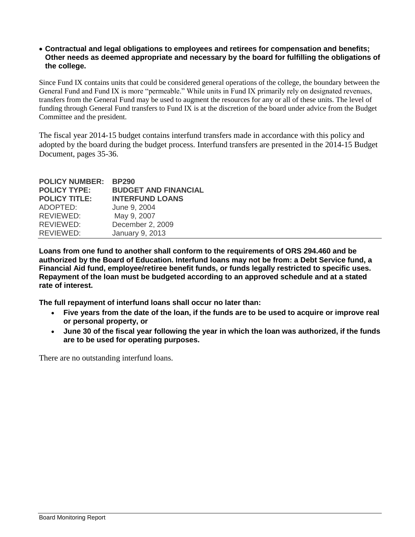## **Contractual and legal obligations to employees and retirees for compensation and benefits; Other needs as deemed appropriate and necessary by the board for fulfilling the obligations of the college.**

Since Fund IX contains units that could be considered general operations of the college, the boundary between the General Fund and Fund IX is more "permeable." While units in Fund IX primarily rely on designated revenues, transfers from the General Fund may be used to augment the resources for any or all of these units. The level of funding through General Fund transfers to Fund IX is at the discretion of the board under advice from the Budget Committee and the president.

The fiscal year 2014-15 budget contains interfund transfers made in accordance with this policy and adopted by the board during the budget process. Interfund transfers are presented in the 2014-15 Budget Document, pages 35-36.

| <b>POLICY NUMBER:</b><br><b>POLICY TYPE:</b><br><b>POLICY TITLE:</b> | <b>BP290</b><br><b>BUDGET AND FINANCIAL</b><br><b>INTERFUND LOANS</b> |
|----------------------------------------------------------------------|-----------------------------------------------------------------------|
| ADOPTED:                                                             | June 9, 2004                                                          |
| REVIEWED:                                                            | May 9, 2007                                                           |
| REVIEWED:                                                            | December 2, 2009                                                      |
| REVIEWED:                                                            | January 9, 2013                                                       |

**Loans from one fund to another shall conform to the requirements of ORS 294.460 and be authorized by the Board of Education. Interfund loans may not be from: a Debt Service fund, a Financial Aid fund, employee/retiree benefit funds, or funds legally restricted to specific uses. Repayment of the loan must be budgeted according to an approved schedule and at a stated rate of interest.** 

**The full repayment of interfund loans shall occur no later than:**

- **Five years from the date of the loan, if the funds are to be used to acquire or improve real or personal property, or**
- **June 30 of the fiscal year following the year in which the loan was authorized, if the funds are to be used for operating purposes.**

There are no outstanding interfund loans.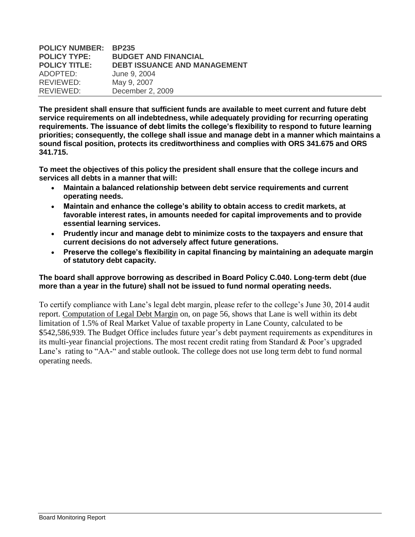| <b>POLICY NUMBER:</b> | <b>BP235</b>                        |
|-----------------------|-------------------------------------|
| <b>POLICY TYPE:</b>   | <b>BUDGET AND FINANCIAL</b>         |
| <b>POLICY TITLE:</b>  | <b>DEBT ISSUANCE AND MANAGEMENT</b> |
| ADOPTED:              | June 9, 2004                        |
| REVIEWED:             | May 9, 2007                         |
| REVIEWED:             | December 2, 2009                    |

**The president shall ensure that sufficient funds are available to meet current and future debt service requirements on all indebtedness, while adequately providing for recurring operating requirements. The issuance of debt limits the college's flexibility to respond to future learning priorities; consequently, the college shall issue and manage debt in a manner which maintains a sound fiscal position, protects its creditworthiness and complies with ORS 341.675 and ORS 341.715.** 

**To meet the objectives of this policy the president shall ensure that the college incurs and services all debts in a manner that will:** 

- **Maintain a balanced relationship between debt service requirements and current operating needs.**
- **Maintain and enhance the college's ability to obtain access to credit markets, at favorable interest rates, in amounts needed for capital improvements and to provide essential learning services.**
- **Prudently incur and manage debt to minimize costs to the taxpayers and ensure that current decisions do not adversely affect future generations.**
- **Preserve the college's flexibility in capital financing by maintaining an adequate margin of statutory debt capacity.**

## **The board shall approve borrowing as described in Board Policy C.040. Long-term debt (due more than a year in the future) shall not be issued to fund normal operating needs.**

To certify compliance with Lane's legal debt margin, please refer to the college's June 30, 2014 audit report. Computation of Legal Debt Margin on, on page 56, shows that Lane is well within its debt limitation of 1.5% of Real Market Value of taxable property in Lane County, calculated to be \$542,586,939. The Budget Office includes future year's debt payment requirements as expenditures in its multi-year financial projections. The most recent credit rating from Standard & Poor's upgraded Lane's rating to "AA-" and stable outlook. The college does not use long term debt to fund normal operating needs.